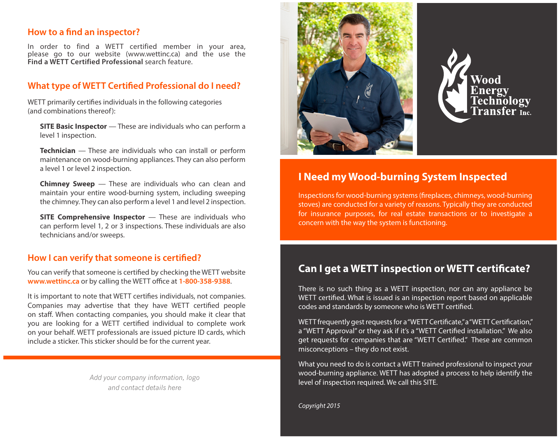### **How to a find an inspector?**

In order to find a WETT certified member in your area, please go to our website [\(www.wettinc.ca\)](http://www.wett.ca) and the use the **Find a WETT Certified Professional** search feature.

### **What type of WETT Certified Professional do I need?**

WETT primarily certifies individuals in the following categories (and combinations thereof):

**SITE Basic Inspector** — These are individuals who can perform a level 1 inspection.

**Technician** — These are individuals who can install or perform maintenance on wood-burning appliances. They can also perform a level 1 or level 2 inspection.

**Chimney Sweep** — These are individuals who can clean and maintain your entire wood-burning system, including sweeping the chimney. They can also perform a level 1 and level 2 inspection.

**SITE Comprehensive Inspector** — These are individuals who can perform level 1, 2 or 3 inspections. These individuals are also technicians and/or sweeps.

#### **How I can verify that someone is certified?**

You can verify that someone is certified by checking the WETT website **www.wettinc.ca** or by calling the WETT office at **1-800-358-9388**.

It is important to note that WETT certifies individuals, not companies. Companies may advertise that they have WETT certified people on staff. When contacting companies, you should make it clear that you are looking for a WETT certified individual to complete work on your behalf. WETT professionals are issued picture ID cards, which include a sticker. This sticker should be for the current year.

> *Add your company information, logo and contact details here*





# **I Need my Wood-burning System Inspected**

Inspections for wood-burning systems (fireplaces, chimneys, wood-burning stoves) are conducted for a variety of reasons. Typically they are conducted for insurance purposes, for real estate transactions or to investigate a concern with the way the system is functioning.

## **Can I get a WETT inspection or WETT certificate?**

There is no such thing as a WETT inspection, nor can any appliance be WETT certified. What is issued is an inspection report based on applicable codes and standards by someone who is WETT certified.

WETT frequently gest requests for a "WETT Certificate," a "WETT Certification," a "WETT Approval" or they ask if it's a "WETT Certified installation." We also get requests for companies that are "WETT Certified." These are common misconceptions – they do not exist.

What you need to do is contact a WETT trained professional to inspect your wood-burning appliance. WETT has adopted a process to help identify the level of inspection required. We call this SITE.

*Copyright 2015*